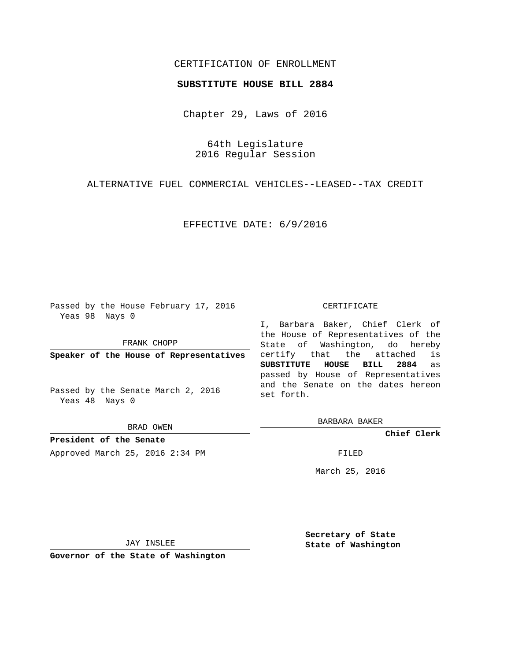## CERTIFICATION OF ENROLLMENT

## **SUBSTITUTE HOUSE BILL 2884**

Chapter 29, Laws of 2016

64th Legislature 2016 Regular Session

ALTERNATIVE FUEL COMMERCIAL VEHICLES--LEASED--TAX CREDIT

EFFECTIVE DATE: 6/9/2016

Passed by the House February 17, 2016 Yeas 98 Nays 0

FRANK CHOPP

**Speaker of the House of Representatives**

Passed by the Senate March 2, 2016 Yeas 48 Nays 0

BRAD OWEN

**President of the Senate** Approved March 25, 2016 2:34 PM FILED

## CERTIFICATE

I, Barbara Baker, Chief Clerk of the House of Representatives of the State of Washington, do hereby certify that the attached is **SUBSTITUTE HOUSE BILL 2884** as passed by House of Representatives and the Senate on the dates hereon set forth.

BARBARA BAKER

**Chief Clerk**

March 25, 2016

JAY INSLEE

**Governor of the State of Washington**

**Secretary of State State of Washington**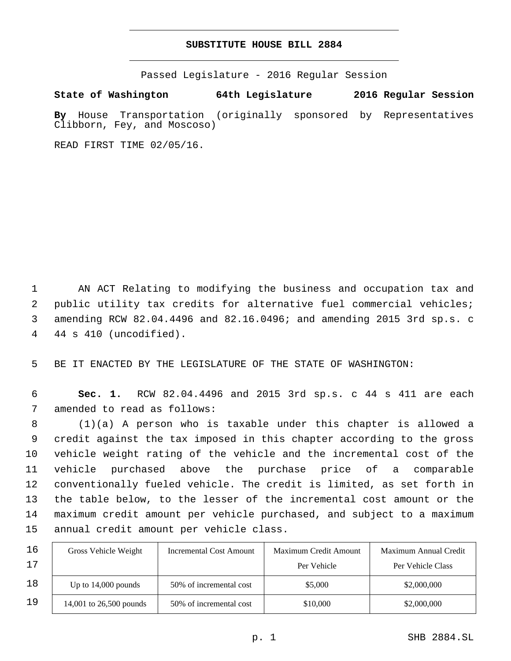## **SUBSTITUTE HOUSE BILL 2884**

Passed Legislature - 2016 Regular Session

**State of Washington 64th Legislature 2016 Regular Session**

**By** House Transportation (originally sponsored by Representatives Clibborn, Fey, and Moscoso)

READ FIRST TIME 02/05/16.

 AN ACT Relating to modifying the business and occupation tax and public utility tax credits for alternative fuel commercial vehicles; amending RCW 82.04.4496 and 82.16.0496; and amending 2015 3rd sp.s. c 44 s 410 (uncodified).4

5 BE IT ENACTED BY THE LEGISLATURE OF THE STATE OF WASHINGTON:

6 **Sec. 1.** RCW 82.04.4496 and 2015 3rd sp.s. c 44 s 411 are each 7 amended to read as follows:

 (1)(a) A person who is taxable under this chapter is allowed a credit against the tax imposed in this chapter according to the gross vehicle weight rating of the vehicle and the incremental cost of the vehicle purchased above the purchase price of a comparable conventionally fueled vehicle. The credit is limited, as set forth in the table below, to the lesser of the incremental cost amount or the maximum credit amount per vehicle purchased, and subject to a maximum 15 annual credit amount per vehicle class.

| 16 | Gross Vehicle Weight    | Incremental Cost Amount | Maximum Credit Amount | Maximum Annual Credit |
|----|-------------------------|-------------------------|-----------------------|-----------------------|
| 17 |                         |                         | Per Vehicle           | Per Vehicle Class     |
| 18 | Up to $14,000$ pounds   | 50% of incremental cost | \$5,000               | \$2,000,000           |
| 19 | 14,001 to 26,500 pounds | 50% of incremental cost | \$10,000              | \$2,000,000           |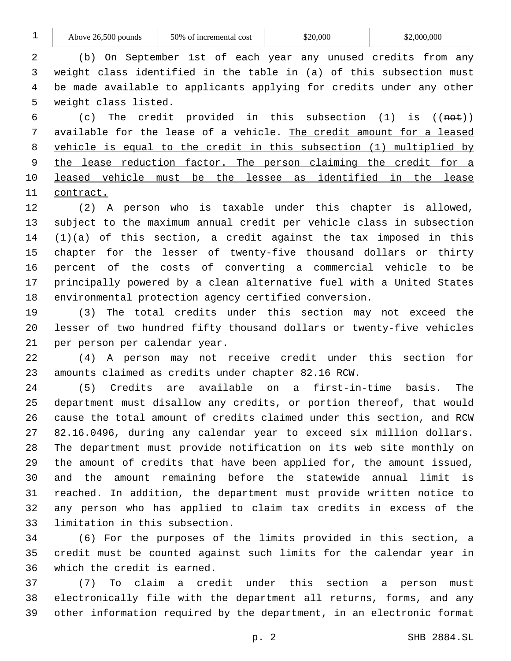| $\mathbf 1$    | Above 26,500 pounds                                                          | 50% of incremental cost | \$20,000                                                              | \$2,000,000                 |  |
|----------------|------------------------------------------------------------------------------|-------------------------|-----------------------------------------------------------------------|-----------------------------|--|
| $\overline{2}$ |                                                                              |                         | (b) On September 1st of each year any unused credits from any         |                             |  |
| 3              | weight class identified in the table in (a) of this subsection must          |                         |                                                                       |                             |  |
| 4              | be made available to applicants applying for credits under any other         |                         |                                                                       |                             |  |
| 5              | weight class listed.                                                         |                         |                                                                       |                             |  |
| 6              | The credit provided in this subsection (1)<br>(c)<br>is (( <del>not</del> )) |                         |                                                                       |                             |  |
| 7              | available for the lease of a vehicle. The credit amount for a leased         |                         |                                                                       |                             |  |
| 8              | vehicle is equal to the credit in this subsection (1) multiplied by          |                         |                                                                       |                             |  |
| 9              | the lease reduction factor. The person claiming the credit for a             |                         |                                                                       |                             |  |
| 10             |                                                                              |                         | leased vehicle must be the lessee as identified in the lease          |                             |  |
| 11             | contract.                                                                    |                         |                                                                       |                             |  |
| 12             |                                                                              |                         | (2) A person who is taxable under this chapter is allowed,            |                             |  |
| 13             |                                                                              |                         | subject to the maximum annual credit per vehicle class in subsection  |                             |  |
| 14             |                                                                              |                         | $(1)(a)$ of this section, a credit against the tax imposed in this    |                             |  |
| 15             |                                                                              |                         | chapter for the lesser of twenty-five thousand dollars or thirty      |                             |  |
| 16             |                                                                              |                         | percent of the costs of converting a commercial vehicle to be         |                             |  |
| 17             |                                                                              |                         | principally powered by a clean alternative fuel with a United States  |                             |  |
| 18             |                                                                              |                         | environmental protection agency certified conversion.                 |                             |  |
| 19             |                                                                              |                         | (3) The total credits under this section may not exceed the           |                             |  |
| 20             |                                                                              |                         | lesser of two hundred fifty thousand dollars or twenty-five vehicles  |                             |  |
| 21             | per person per calendar year.                                                |                         |                                                                       |                             |  |
| 22             | (4)                                                                          |                         | A person may not receive credit under this section for                |                             |  |
| 23             | amounts claimed as credits under chapter 82.16 RCW.                          |                         |                                                                       |                             |  |
| 24             | (5)<br>Credits                                                               | available<br>are        | on<br>a                                                               | first-in-time basis.<br>The |  |
| 25             |                                                                              |                         | department must disallow any credits, or portion thereof, that would  |                             |  |
| 26             |                                                                              |                         | cause the total amount of credits claimed under this section, and RCW |                             |  |
| 27             |                                                                              |                         | 82.16.0496, during any calendar year to exceed six million dollars.   |                             |  |
| 28             |                                                                              |                         | The department must provide notification on its web site monthly on   |                             |  |
| 29             | the amount of credits that have been applied for, the amount issued,         |                         |                                                                       |                             |  |

 and the amount remaining before the statewide annual limit is reached. In addition, the department must provide written notice to any person who has applied to claim tax credits in excess of the 33 limitation in this subsection.

 (6) For the purposes of the limits provided in this section, a credit must be counted against such limits for the calendar year in 36 which the credit is earned.

 (7) To claim a credit under this section a person must electronically file with the department all returns, forms, and any other information required by the department, in an electronic format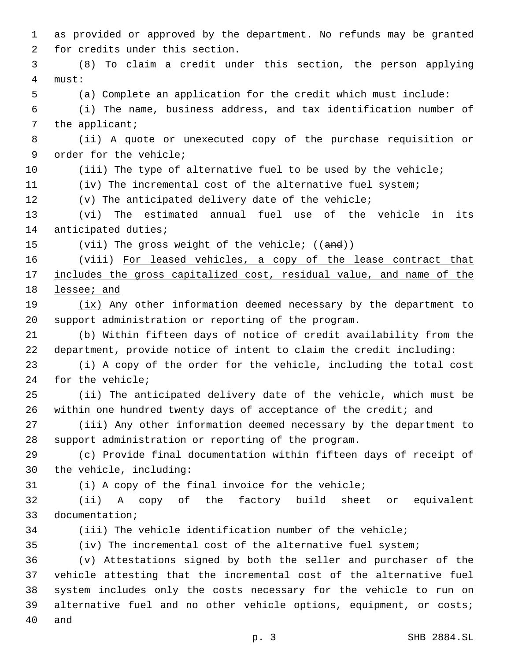as provided or approved by the department. No refunds may be granted 2 for credits under this section. (8) To claim a credit under this section, the person applying must:4 (a) Complete an application for the credit which must include: (i) The name, business address, and tax identification number of 7 the applicant; (ii) A quote or unexecuted copy of the purchase requisition or 9 order for the vehicle; 10 (iii) The type of alternative fuel to be used by the vehicle; (iv) The incremental cost of the alternative fuel system; (v) The anticipated delivery date of the vehicle; (vi) The estimated annual fuel use of the vehicle in its 14 anticipated duties; 15 (vii) The gross weight of the vehicle; ((and)) 16 (viii) For leased vehicles, a copy of the lease contract that includes the gross capitalized cost, residual value, and name of the lessee; and 19 (ix) Any other information deemed necessary by the department to support administration or reporting of the program. (b) Within fifteen days of notice of credit availability from the department, provide notice of intent to claim the credit including: (i) A copy of the order for the vehicle, including the total cost 24 for the vehicle; (ii) The anticipated delivery date of the vehicle, which must be within one hundred twenty days of acceptance of the credit; and (iii) Any other information deemed necessary by the department to support administration or reporting of the program. (c) Provide final documentation within fifteen days of receipt of 30 the vehicle, including: (i) A copy of the final invoice for the vehicle; (ii) A copy of the factory build sheet or equivalent 33 documentation; (iii) The vehicle identification number of the vehicle; (iv) The incremental cost of the alternative fuel system; (v) Attestations signed by both the seller and purchaser of the vehicle attesting that the incremental cost of the alternative fuel system includes only the costs necessary for the vehicle to run on alternative fuel and no other vehicle options, equipment, or costs; 40 and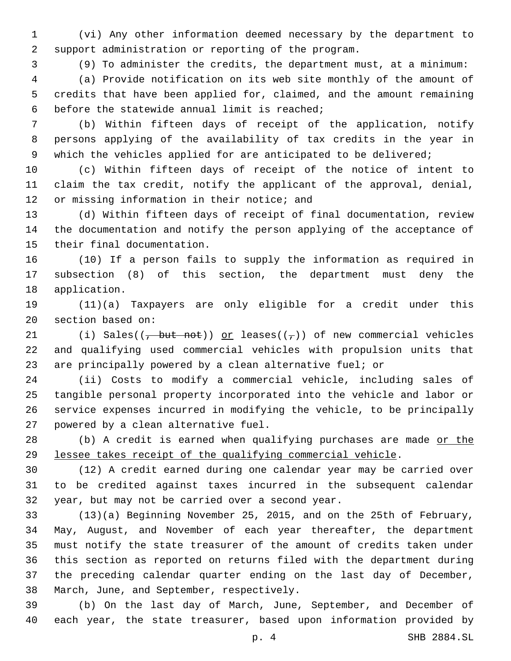(vi) Any other information deemed necessary by the department to support administration or reporting of the program.

(9) To administer the credits, the department must, at a minimum:

 (a) Provide notification on its web site monthly of the amount of credits that have been applied for, claimed, and the amount remaining 6 before the statewide annual limit is reached;

 (b) Within fifteen days of receipt of the application, notify persons applying of the availability of tax credits in the year in 9 which the vehicles applied for are anticipated to be delivered;

 (c) Within fifteen days of receipt of the notice of intent to claim the tax credit, notify the applicant of the approval, denial, 12 or missing information in their notice; and

 (d) Within fifteen days of receipt of final documentation, review the documentation and notify the person applying of the acceptance of 15 their final documentation.

 (10) If a person fails to supply the information as required in subsection (8) of this section, the department must deny the 18 application.

 (11)(a) Taxpayers are only eligible for a credit under this 20 section based on:

21 (i) Sales( $(\frac{1}{1})$  but not)) or leases( $(\frac{1}{1})$ ) of new commercial vehicles and qualifying used commercial vehicles with propulsion units that are principally powered by a clean alternative fuel; or

 (ii) Costs to modify a commercial vehicle, including sales of tangible personal property incorporated into the vehicle and labor or service expenses incurred in modifying the vehicle, to be principally 27 powered by a clean alternative fuel.

28 (b) A credit is earned when qualifying purchases are made or the lessee takes receipt of the qualifying commercial vehicle.

 (12) A credit earned during one calendar year may be carried over to be credited against taxes incurred in the subsequent calendar 32 year, but may not be carried over a second year.

 (13)(a) Beginning November 25, 2015, and on the 25th of February, May, August, and November of each year thereafter, the department must notify the state treasurer of the amount of credits taken under this section as reported on returns filed with the department during the preceding calendar quarter ending on the last day of December, 38 March, June, and September, respectively.

 (b) On the last day of March, June, September, and December of each year, the state treasurer, based upon information provided by

p. 4 SHB 2884.SL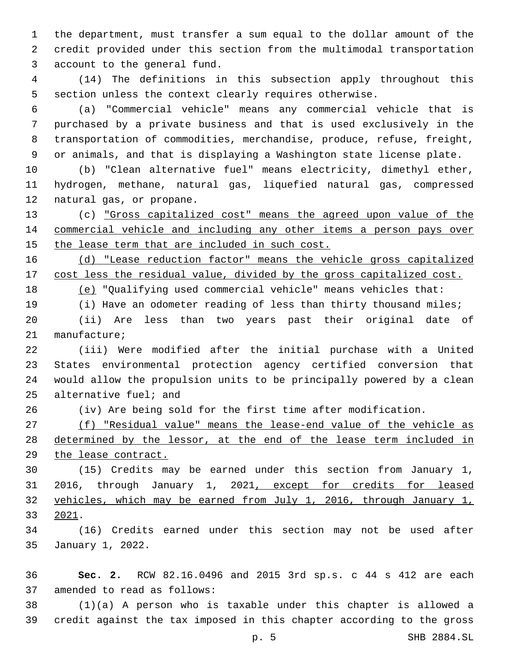the department, must transfer a sum equal to the dollar amount of the credit provided under this section from the multimodal transportation 3 account to the general fund.

 (14) The definitions in this subsection apply throughout this section unless the context clearly requires otherwise.

 (a) "Commercial vehicle" means any commercial vehicle that is purchased by a private business and that is used exclusively in the transportation of commodities, merchandise, produce, refuse, freight, or animals, and that is displaying a Washington state license plate.

 (b) "Clean alternative fuel" means electricity, dimethyl ether, hydrogen, methane, natural gas, liquefied natural gas, compressed 12 natural gas, or propane.

 (c) "Gross capitalized cost" means the agreed upon value of the commercial vehicle and including any other items a person pays over the lease term that are included in such cost.

 (d) "Lease reduction factor" means the vehicle gross capitalized cost less the residual value, divided by the gross capitalized cost.

(e) "Qualifying used commercial vehicle" means vehicles that:

 (i) Have an odometer reading of less than thirty thousand miles; (ii) Are less than two years past their original date of 21 manufacture;

 (iii) Were modified after the initial purchase with a United States environmental protection agency certified conversion that would allow the propulsion units to be principally powered by a clean 25 alternative fuel; and

(iv) Are being sold for the first time after modification.

 (f) "Residual value" means the lease-end value of the vehicle as determined by the lessor, at the end of the lease term included in the lease contract.

 (15) Credits may be earned under this section from January 1, 2016, through January 1, 2021, except for credits for leased vehicles, which may be earned from July 1, 2016, through January 1, 33 2021.

 (16) Credits earned under this section may not be used after 35 January 1, 2022.

 **Sec. 2.** RCW 82.16.0496 and 2015 3rd sp.s. c 44 s 412 are each 37 amended to read as follows:

 (1)(a) A person who is taxable under this chapter is allowed a credit against the tax imposed in this chapter according to the gross

p. 5 SHB 2884.SL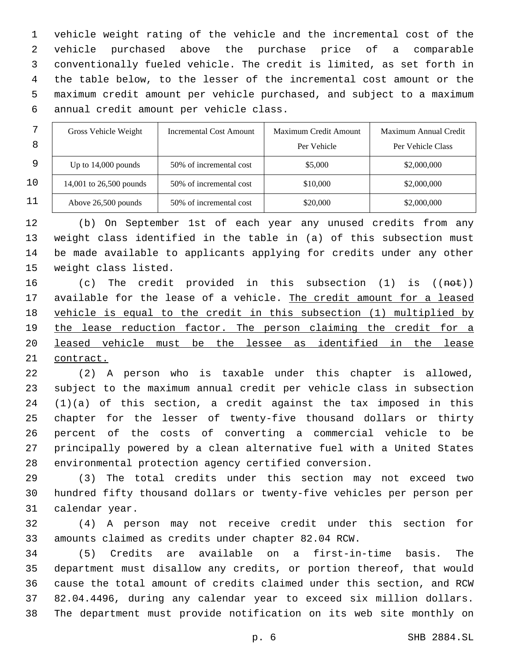vehicle weight rating of the vehicle and the incremental cost of the vehicle purchased above the purchase price of a comparable conventionally fueled vehicle. The credit is limited, as set forth in the table below, to the lesser of the incremental cost amount or the maximum credit amount per vehicle purchased, and subject to a maximum annual credit amount per vehicle class.6

| ⇁  | Gross Vehicle Weight    | Incremental Cost Amount | Maximum Credit Amount | Maximum Annual Credit |
|----|-------------------------|-------------------------|-----------------------|-----------------------|
| 8  |                         |                         | Per Vehicle           | Per Vehicle Class     |
| 9  | Up to $14,000$ pounds   | 50% of incremental cost | \$5,000               | \$2,000,000           |
| 10 | 14,001 to 26,500 pounds | 50% of incremental cost | \$10,000              | \$2,000,000           |
| 11 | Above 26,500 pounds     | 50% of incremental cost | \$20,000              | \$2,000,000           |

 (b) On September 1st of each year any unused credits from any weight class identified in the table in (a) of this subsection must be made available to applicants applying for credits under any other 15 weight class listed.

 (c) The credit provided in this subsection (1) is ((not)) available for the lease of a vehicle. The credit amount for a leased vehicle is equal to the credit in this subsection (1) multiplied by the lease reduction factor. The person claiming the credit for a 20 leased vehicle must be the lessee as identified in the lease contract.

 (2) A person who is taxable under this chapter is allowed, subject to the maximum annual credit per vehicle class in subsection (1)(a) of this section, a credit against the tax imposed in this chapter for the lesser of twenty-five thousand dollars or thirty percent of the costs of converting a commercial vehicle to be principally powered by a clean alternative fuel with a United States environmental protection agency certified conversion.

 (3) The total credits under this section may not exceed two hundred fifty thousand dollars or twenty-five vehicles per person per 31 calendar year.

 (4) A person may not receive credit under this section for amounts claimed as credits under chapter 82.04 RCW.

 (5) Credits are available on a first-in-time basis. The department must disallow any credits, or portion thereof, that would cause the total amount of credits claimed under this section, and RCW 82.04.4496, during any calendar year to exceed six million dollars. The department must provide notification on its web site monthly on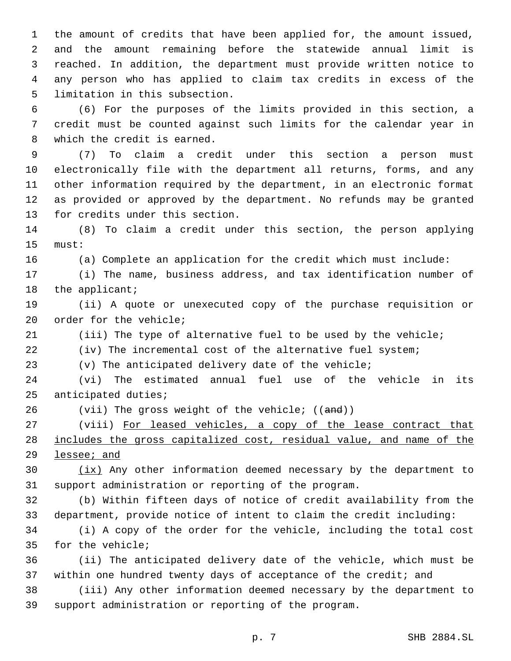the amount of credits that have been applied for, the amount issued, and the amount remaining before the statewide annual limit is reached. In addition, the department must provide written notice to any person who has applied to claim tax credits in excess of the 5 limitation in this subsection.

 (6) For the purposes of the limits provided in this section, a credit must be counted against such limits for the calendar year in 8 which the credit is earned.

 (7) To claim a credit under this section a person must electronically file with the department all returns, forms, and any other information required by the department, in an electronic format as provided or approved by the department. No refunds may be granted 13 for credits under this section.

 (8) To claim a credit under this section, the person applying 15 must:

(a) Complete an application for the credit which must include:

 (i) The name, business address, and tax identification number of 18 the applicant;

 (ii) A quote or unexecuted copy of the purchase requisition or 20 order for the vehicle;

(iii) The type of alternative fuel to be used by the vehicle;

(iv) The incremental cost of the alternative fuel system;

(v) The anticipated delivery date of the vehicle;

 (vi) The estimated annual fuel use of the vehicle in its 25 anticipated duties;

26 (vii) The gross weight of the vehicle; ((and))

 (viii) For leased vehicles, a copy of the lease contract that includes the gross capitalized cost, residual value, and name of the lessee; and

 $\frac{ix}{x}$  Any other information deemed necessary by the department to support administration or reporting of the program.

 (b) Within fifteen days of notice of credit availability from the department, provide notice of intent to claim the credit including:

 (i) A copy of the order for the vehicle, including the total cost 35 for the vehicle;

 (ii) The anticipated delivery date of the vehicle, which must be within one hundred twenty days of acceptance of the credit; and

 (iii) Any other information deemed necessary by the department to support administration or reporting of the program.

p. 7 SHB 2884.SL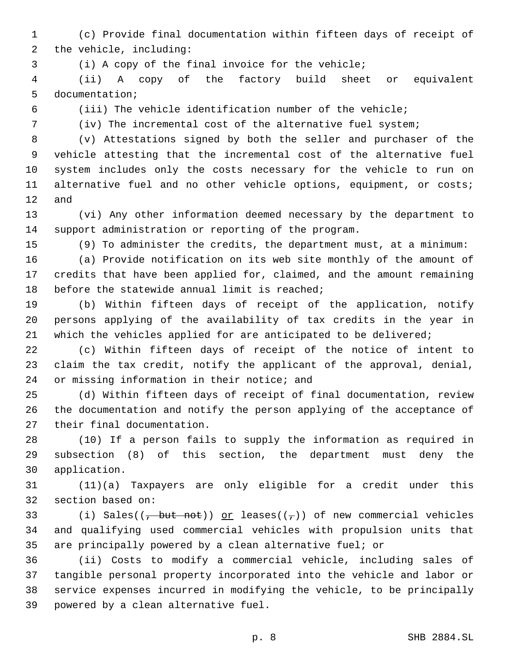(c) Provide final documentation within fifteen days of receipt of 2 the vehicle, including:

(i) A copy of the final invoice for the vehicle;

 (ii) A copy of the factory build sheet or equivalent 5 documentation;

(iii) The vehicle identification number of the vehicle;

(iv) The incremental cost of the alternative fuel system;

 (v) Attestations signed by both the seller and purchaser of the vehicle attesting that the incremental cost of the alternative fuel system includes only the costs necessary for the vehicle to run on 11 alternative fuel and no other vehicle options, equipment, or costs; and

 (vi) Any other information deemed necessary by the department to support administration or reporting of the program.

(9) To administer the credits, the department must, at a minimum:

 (a) Provide notification on its web site monthly of the amount of credits that have been applied for, claimed, and the amount remaining 18 before the statewide annual limit is reached;

 (b) Within fifteen days of receipt of the application, notify persons applying of the availability of tax credits in the year in 21 which the vehicles applied for are anticipated to be delivered;

 (c) Within fifteen days of receipt of the notice of intent to claim the tax credit, notify the applicant of the approval, denial, 24 or missing information in their notice; and

 (d) Within fifteen days of receipt of final documentation, review the documentation and notify the person applying of the acceptance of 27 their final documentation.

 (10) If a person fails to supply the information as required in subsection (8) of this section, the department must deny the application.30

 (11)(a) Taxpayers are only eligible for a credit under this 32 section based on:

33 (i) Sales( $(\frac{1}{1})$  but not)) or leases( $(\frac{1}{1})$ ) of new commercial vehicles and qualifying used commercial vehicles with propulsion units that are principally powered by a clean alternative fuel; or

 (ii) Costs to modify a commercial vehicle, including sales of tangible personal property incorporated into the vehicle and labor or service expenses incurred in modifying the vehicle, to be principally 39 powered by a clean alternative fuel.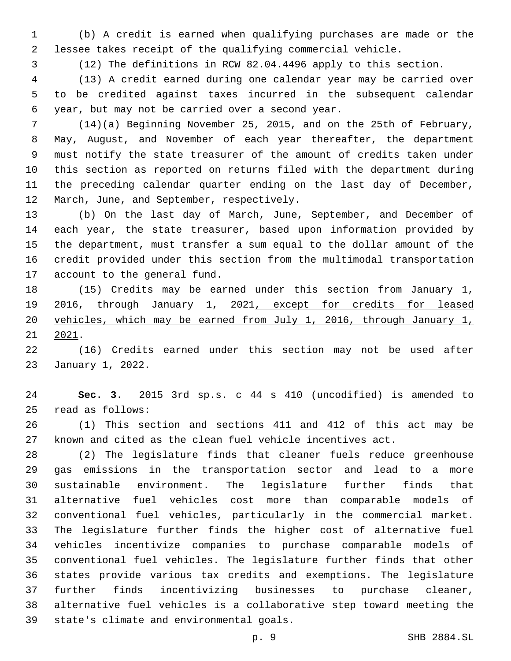(b) A credit is earned when qualifying purchases are made or the lessee takes receipt of the qualifying commercial vehicle.

(12) The definitions in RCW 82.04.4496 apply to this section.

 (13) A credit earned during one calendar year may be carried over to be credited against taxes incurred in the subsequent calendar year, but may not be carried over a second year.6

 (14)(a) Beginning November 25, 2015, and on the 25th of February, May, August, and November of each year thereafter, the department must notify the state treasurer of the amount of credits taken under this section as reported on returns filed with the department during the preceding calendar quarter ending on the last day of December, 12 March, June, and September, respectively.

 (b) On the last day of March, June, September, and December of each year, the state treasurer, based upon information provided by the department, must transfer a sum equal to the dollar amount of the credit provided under this section from the multimodal transportation 17 account to the general fund.

 (15) Credits may be earned under this section from January 1, 2016, through January 1, 2021, except for credits for leased vehicles, which may be earned from July 1, 2016, through January 1,  $21 \quad 2021$ .

 (16) Credits earned under this section may not be used after 23 January 1, 2022.

 **Sec. 3.** 2015 3rd sp.s. c 44 s 410 (uncodified) is amended to read as follows:25

 (1) This section and sections 411 and 412 of this act may be known and cited as the clean fuel vehicle incentives act.

 (2) The legislature finds that cleaner fuels reduce greenhouse gas emissions in the transportation sector and lead to a more sustainable environment. The legislature further finds that alternative fuel vehicles cost more than comparable models of conventional fuel vehicles, particularly in the commercial market. The legislature further finds the higher cost of alternative fuel vehicles incentivize companies to purchase comparable models of conventional fuel vehicles. The legislature further finds that other states provide various tax credits and exemptions. The legislature further finds incentivizing businesses to purchase cleaner, alternative fuel vehicles is a collaborative step toward meeting the 39 state's climate and environmental goals.